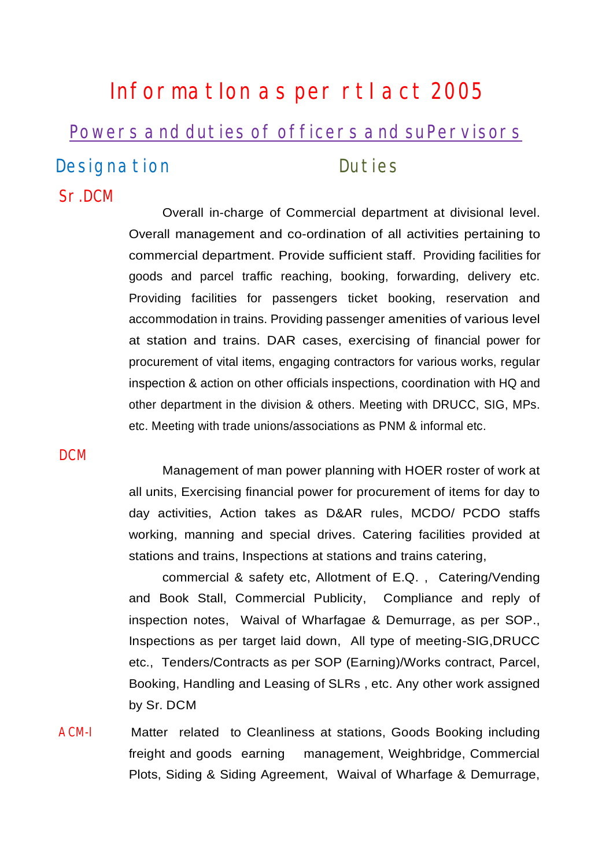# InformatIon as per rtI act 2005 Powers and duties of officers and suPervisors Designation **Duties** Sr.DCM

Overall in-charge of Commercial department at divisional level. Overall management and co-ordination of all activities pertaining to commercial department. Provide sufficient staff. Providing facilities for goods and parcel traffic reaching, booking, forwarding, delivery etc. Providing facilities for passengers ticket booking, reservation and accommodation in trains. Providing passenger amenities of various level at station and trains. DAR cases, exercising of financial power for procurement of vital items, engaging contractors for various works, regular inspection & action on other officials inspections, coordination with HQ and other department in the division & others. Meeting with DRUCC, SIG, MPs. etc. Meeting with trade unions/associations as PNM & informal etc.

**DCM** 

Management of man power planning with HOER roster of work at all units, Exercising financial power for procurement of items for day to day activities, Action takes as D&AR rules, MCDO/ PCDO staffs working, manning and special drives. Catering facilities provided at stations and trains, Inspections at stations and trains catering,

commercial & safety etc, Allotment of E.Q. , Catering/Vending and Book Stall, Commercial Publicity, Compliance and reply of inspection notes, Waival of Wharfagae & Demurrage, as per SOP., Inspections as per target laid down, All type of meeting-SIG,DRUCC etc., Tenders/Contracts as per SOP (Earning)/Works contract, Parcel, Booking, Handling and Leasing of SLRs , etc. Any other work assigned by Sr. DCM

ACM-I Matter related to Cleanliness at stations, Goods Booking including freight and goods earning management, Weighbridge, Commercial Plots, Siding & Siding Agreement, Waival of Wharfage & Demurrage,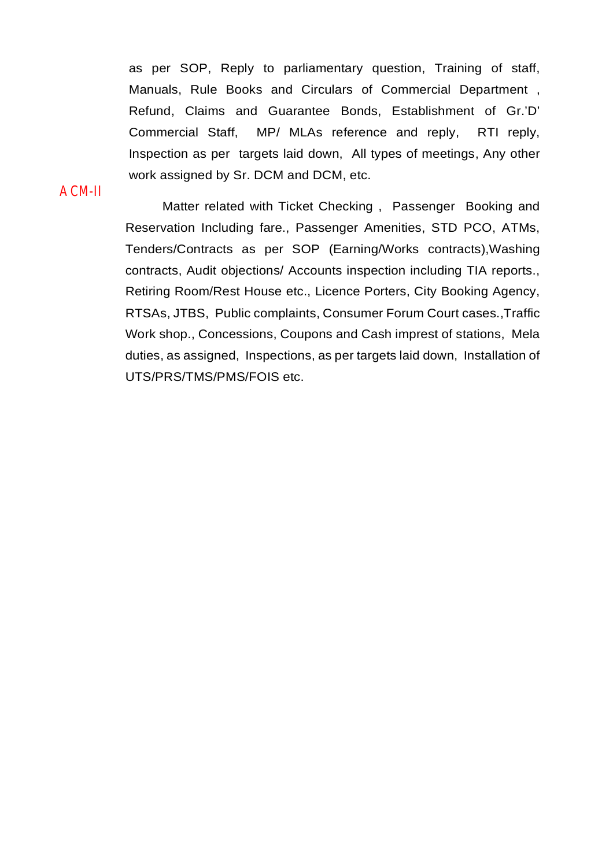as per SOP, Reply to parliamentary question, Training of staff, Manuals, Rule Books and Circulars of Commercial Department , Refund, Claims and Guarantee Bonds, Establishment of Gr.'D' Commercial Staff, MP/ MLAs reference and reply, RTI reply, Inspection as per targets laid down, All types of meetings, Any other work assigned by Sr. DCM and DCM, etc.

ACM-II

Matter related with Ticket Checking , Passenger Booking and Reservation Including fare., Passenger Amenities, STD PCO, ATMs, Tenders/Contracts as per SOP (Earning/Works contracts),Washing contracts, Audit objections/ Accounts inspection including TIA reports., Retiring Room/Rest House etc., Licence Porters, City Booking Agency, RTSAs, JTBS, Public complaints, Consumer Forum Court cases.,Traffic Work shop., Concessions, Coupons and Cash imprest of stations, Mela duties, as assigned, Inspections, as per targets laid down, Installation of UTS/PRS/TMS/PMS/FOIS etc.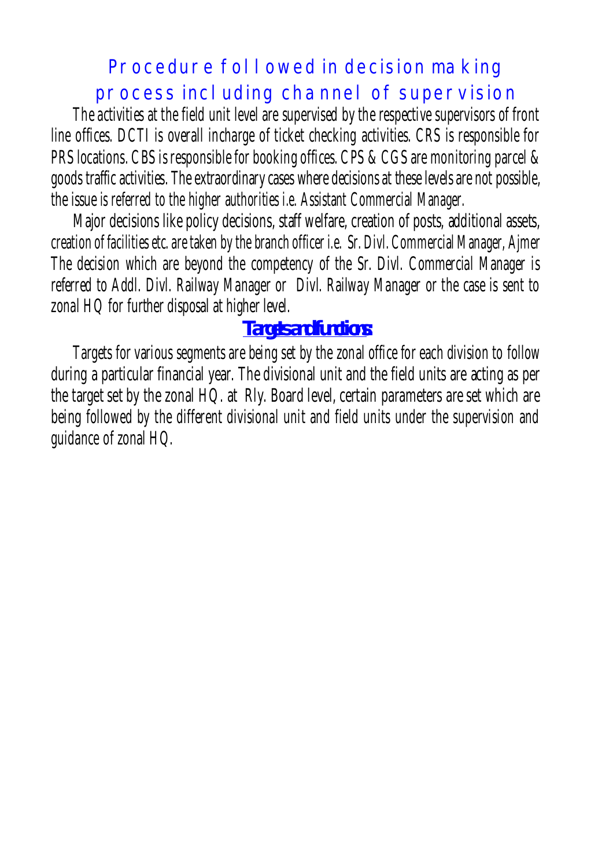### Procedure followed in decision making process including channel of supervision

The activities at the field unit level are supervised by the respective supervisors of front line offices. DCTI is overall incharge of ticket checking activities. CRS is responsible for PRS locations. CBS is responsible for booking offices. CPS & CGS are monitoring parcel & goods traffic activities. The extraordinary cases where decisions at these levels are not possible, the issue is referred to the higher authorities i.e. Assistant Commercial Manager.

Major decisions like policy decisions, staff welfare, creation of posts, additional assets, creation of facilities etc. are taken by the branch officer i.e. Sr. Divl. Commercial Manager, Ajmer The decision which are beyond the competency of the Sr. Divl. Commercial Manager is referred to Addl. Divl. Railway Manager or Divl. Railway Manager or the case is sent to zonal HQ for further disposal at higher level.

### **Targets and functions:**

Targets for various segments are being set by the zonal office for each division to follow during a particular financial year. The divisional unit and the field units are acting as per the target set by the zonal HQ. at Rly. Board level, certain parameters are set which are being followed by the different divisional unit and field units under the supervision and guidance of zonal HQ.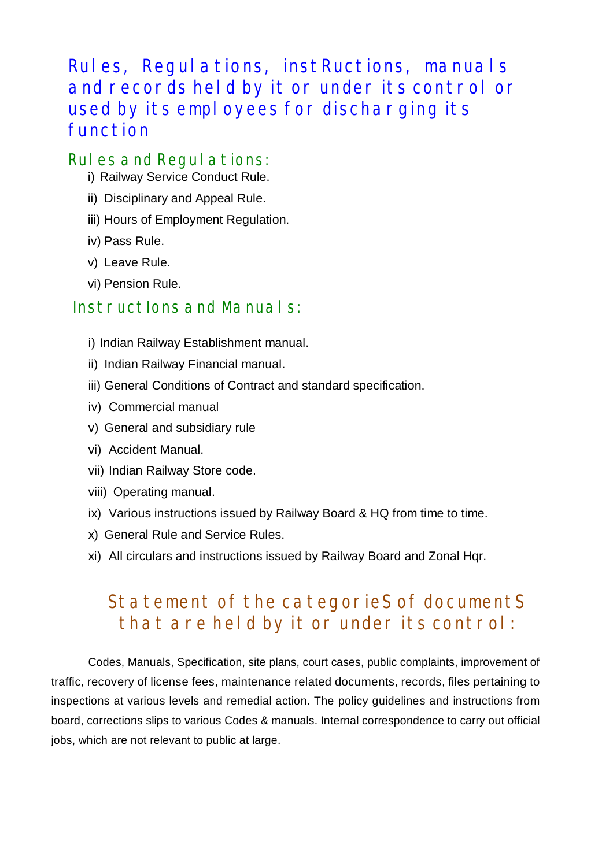Rules, Regulations, instRuctions, manuals and records held by it or under its control or used by its employees for discharging its function

#### Rules and Regulations:

- i) Railway Service Conduct Rule.
- ii) Disciplinary and Appeal Rule.
- iii) Hours of Employment Regulation.
- iv) Pass Rule.
- v) Leave Rule.
- vi) Pension Rule.

#### InstructIons and Manuals:

- i) Indian Railway Establishment manual.
- ii) Indian Railway Financial manual.
- iii) General Conditions of Contract and standard specification.
- iv) Commercial manual
- v) General and subsidiary rule
- vi) Accident Manual.
- vii) Indian Railway Store code.
- viii) Operating manual.
- ix) Various instructions issued by Railway Board & HQ from time to time.
- x) General Rule and Service Rules.
- xi) All circulars and instructions issued by Railway Board and Zonal Hqr.

### Statement of the categorieS of documentS that are held by it or under its control:

Codes, Manuals, Specification, site plans, court cases, public complaints, improvement of traffic, recovery of license fees, maintenance related documents, records, files pertaining to inspections at various levels and remedial action. The policy guidelines and instructions from board, corrections slips to various Codes & manuals. Internal correspondence to carry out official jobs, which are not relevant to public at large.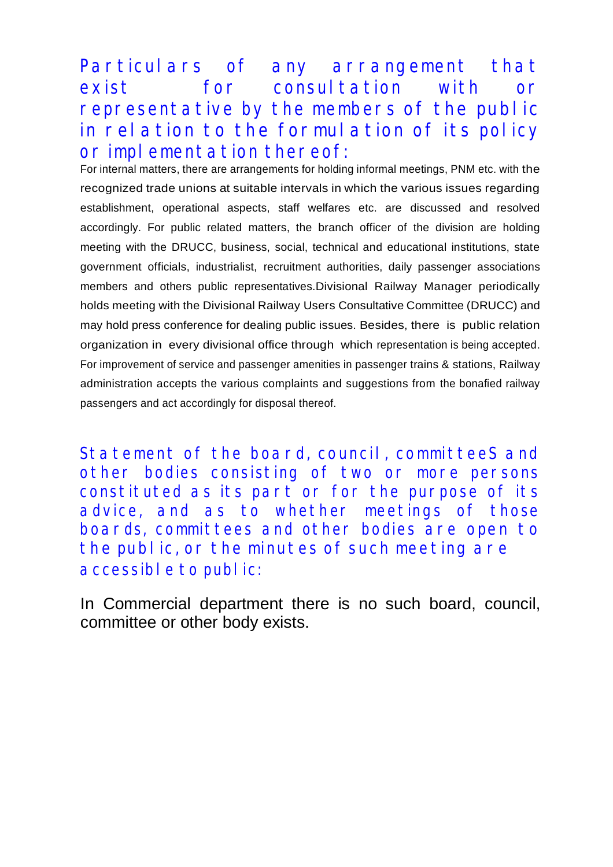Particulars of any arrangement that exist for consultation with or representative by the members of the public in relation to the formulation of its policy or implementation thereof:

For internal matters, there are arrangements for holding informal meetings, PNM etc. with the recognized trade unions at suitable intervals in which the various issues regarding establishment, operational aspects, staff welfares etc. are discussed and resolved accordingly. For public related matters, the branch officer of the division are holding meeting with the DRUCC, business, social, technical and educational institutions, state government officials, industrialist, recruitment authorities, daily passenger associations members and others public representatives.Divisional Railway Manager periodically holds meeting with the Divisional Railway Users Consultative Committee (DRUCC) and may hold press conference for dealing public issues. Besides, there is public relation organization in every divisional office through which representation is being accepted. For improvement of service and passenger amenities in passenger trains & stations, Railway administration accepts the various complaints and suggestions from the bonafied railway passengers and act accordingly for disposal thereof.

Statement of the board, council, committeeS and other bodies consisting of two or more persons constituted as its part or for the purpose of its advice, and as to whether meetings of those boards, committees and other bodies are open to the public, or the minutes of such meeting are accessible to public:

In Commercial department there is no such board, council, committee or other body exists.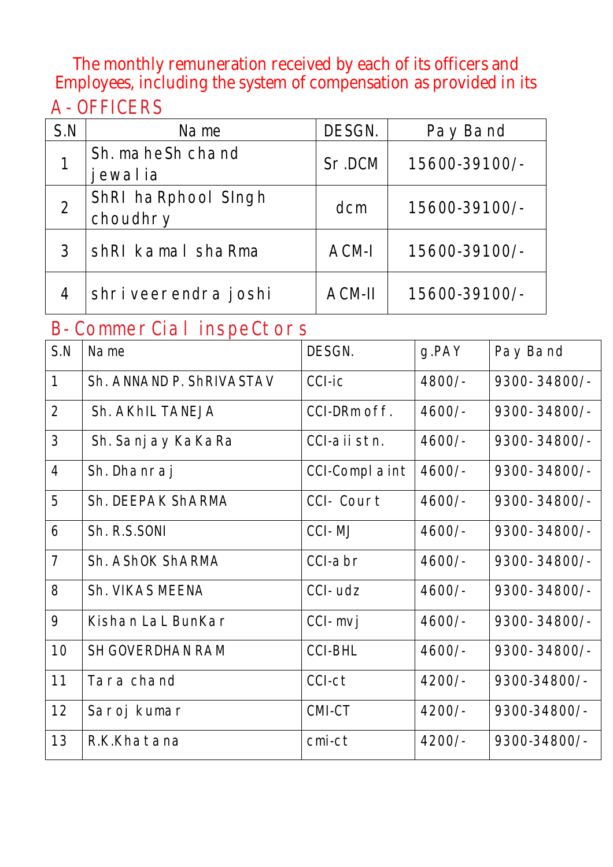The monthly remuneration received by each of its officers and Employees, including the system of compensation as provided in its A- OFFICERS

| S.N | Name                            | DESGN.       | Pay Band      |
|-----|---------------------------------|--------------|---------------|
|     | Sh. maheSh chand<br>ewal ia     | Sr.DCM       | 15600-39100/- |
|     | ShRI haRphool Singh<br>choudhry | dcm          | 15600-39100/- |
| 3   | shRI kamal shaRma               | <b>ACM-I</b> | 15600-39100/- |
| 4   | shri veerendra joshi            | ACM-II       | 15600-39100/- |

#### B- CommerCial inspeCtors

| S.N            | Name                     | DESGN.               | g.PAY    | Pay Band     |
|----------------|--------------------------|----------------------|----------|--------------|
| $\mathbf{1}$   | Sh. ANNAND P. ShRIVASTAV | CCI-ic               | 4800/-   | 9300-34800/- |
| 2              | Sh. AKhIL TANEJA         | CCI-DRm off.         | $4600/-$ | 9300-34800/- |
| $\mathfrak{Z}$ | Sh. Sanj ay KaKaRa       | CCI-aii stn.         | $4600/-$ | 9300-34800/- |
| $\overline{4}$ | Sh. Dhanraj              | <b>CCI-Complaint</b> | $4600/-$ | 9300-34800/- |
| 5              | Sh. DEEPAK ShARMA        | CCI- Court           | $4600/-$ | 9300-34800/- |
| 6              | Sh. R.S.SONI             | CCI-MJ               | $4600/-$ | 9300-34800/- |
| $\overline{7}$ | Sh. AShOK ShARMA         | CCI-abr              | $4600/-$ | 9300-34800/- |
| 8              | Sh. VIKAS MEENA          | $CCI$ -udz           | $4600/-$ | 9300-34800/- |
| 9              | Kishan LaL BunKar        | CCI-mvj              | $4600/-$ | 9300-34800/- |
| 10             | <b>SH GOVERDHAN RAM</b>  | <b>CCI-BHL</b>       | $4600/-$ | 9300-34800/- |
| 11             | Tara chand               | CCI-ct               | $4200/-$ | 9300-34800/- |
| 12             | Saroj kumar              | CMI-CT               | $4200/-$ | 9300-34800/- |
| 13             | R.K.Khatana              | cmi-ct               | $4200/-$ | 9300-34800/- |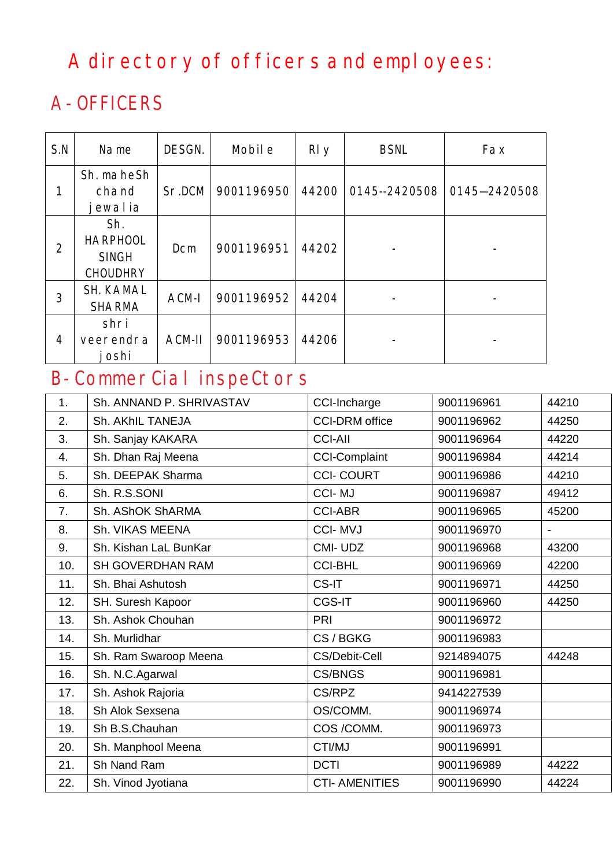## A directory of officers and employees:

## A- OFFICERS

| S.N            | Name                                                      | DESGN. | Mobil e    | RI <sub>y</sub> | <b>BSNL</b>   | Fax          |
|----------------|-----------------------------------------------------------|--------|------------|-----------------|---------------|--------------|
| 1              | Sh. maheSh<br>chand<br>ewalia                             | Sr.DCM | 9001196950 | 44200           | 0145--2420508 | 0145-2420508 |
| $\overline{2}$ | Sh.<br><b>HARPHOOL</b><br><b>SINGH</b><br><b>CHOUDHRY</b> | Dcm    | 9001196951 | 44202           |               |              |
| 3              | <b>SH. KAMAL</b><br><b>SHARMA</b>                         | ACM-I  | 9001196952 | 44204           |               |              |
| 4              | shri<br>veerendra<br>oshi                                 | ACM-II | 9001196953 | 44206           |               |              |

## B- CommerCial inspeCtors

| 1.  | Sh. ANNAND P. SHRIVASTAV | CCI-Incharge          | 9001196961 | 44210                    |
|-----|--------------------------|-----------------------|------------|--------------------------|
| 2.  | Sh. AKhIL TANEJA         | <b>CCI-DRM</b> office | 9001196962 | 44250                    |
| 3.  | Sh. Sanjay KAKARA        | <b>CCI-AII</b>        | 9001196964 | 44220                    |
| 4.  | Sh. Dhan Raj Meena       | <b>CCI-Complaint</b>  | 9001196984 | 44214                    |
| 5.  | Sh. DEEPAK Sharma        | <b>CCI-COURT</b>      | 9001196986 | 44210                    |
| 6.  | Sh. R.S.SONI             | <b>CCI-MJ</b>         | 9001196987 | 49412                    |
| 7.  | Sh. AShOK ShARMA         | <b>CCI-ABR</b>        | 9001196965 | 45200                    |
| 8.  | <b>Sh. VIKAS MEENA</b>   | <b>CCI-MVJ</b>        | 9001196970 | $\overline{\phantom{a}}$ |
| 9.  | Sh. Kishan LaL BunKar    | CMI-UDZ               | 9001196968 | 43200                    |
| 10. | <b>SH GOVERDHAN RAM</b>  | <b>CCI-BHL</b>        | 9001196969 | 42200                    |
| 11. | Sh. Bhai Ashutosh        | CS-IT                 | 9001196971 | 44250                    |
| 12. | SH. Suresh Kapoor        | CGS-IT                | 9001196960 | 44250                    |
| 13. | Sh. Ashok Chouhan        | PRI                   | 9001196972 |                          |
| 14. | Sh. Murlidhar            | CS/BGKG               | 9001196983 |                          |
| 15. | Sh. Ram Swaroop Meena    | <b>CS/Debit-Cell</b>  | 9214894075 | 44248                    |
| 16. | Sh. N.C.Agarwal          | <b>CS/BNGS</b>        | 9001196981 |                          |
| 17. | Sh. Ashok Rajoria        | CS/RPZ                | 9414227539 |                          |
| 18. | Sh Alok Sexsena          | OS/COMM.              | 9001196974 |                          |
| 19. | Sh B.S.Chauhan           | COS /COMM.            | 9001196973 |                          |
| 20. | Sh. Manphool Meena       | CTI/MJ                | 9001196991 |                          |
| 21. | Sh Nand Ram              | <b>DCTI</b>           | 9001196989 | 44222                    |
| 22. | Sh. Vinod Jyotiana       | <b>CTI- AMENITIES</b> | 9001196990 | 44224                    |